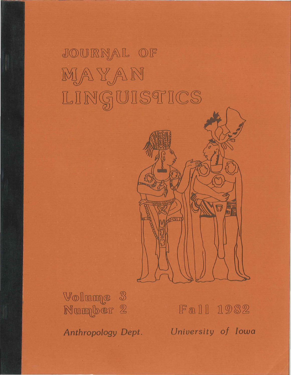# JOURNAL OF  $MATAN$ LINGUISTICS



Volume 3 Number 2

Fall 1982 *Anthropology Dept. University of Iowa*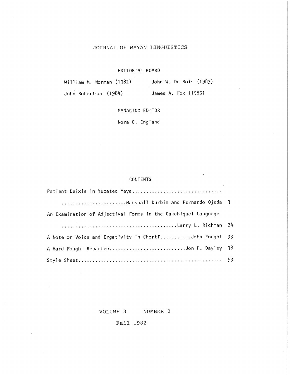# JOURNAL OF MAYAN LINGUISTICS

# EDITORIAL BOARD

William M. Norman (1982) John W. Du Bois (1983) John Robertson (1984) James A. Fox (1985)

MANAGING EDITOR

Nora C. England

## CONTENTS

| An Examination of Adjectival Forms in the Cakchiquel Language |  |
|---------------------------------------------------------------|--|
|                                                               |  |
| A Note on Voice and Ergativity in Chort "John Fought 33       |  |
| A Hard Fought ReparteeJon P. Dayley 38                        |  |
|                                                               |  |

# VOLUME 3 NUMBER 2

Fall 1982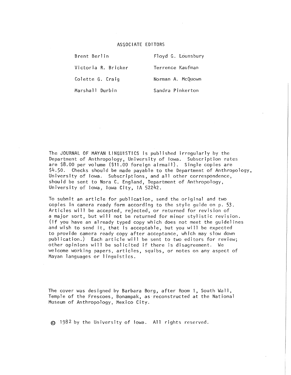#### ASSOCIATE EDITORS

Brent Berlin Floyd G. Lounsbury Victoria R. Bricker Terrence Kaufman Colette G. Craig Norman A. McQuown

Marshall Durbin Sandra Pinkerton

The JOURNAL OF MAYAN LINGUISTICS is published irregularly by the Department of Anthropology, University of Iowa. Subscription rates are \$8.00 per volume (\$11 .00 foreign airmail). Single copies are \$4.50. Checks should be made payable to the Department of Anthropology, University of Iowa. Subscriptions, and all other correspondence, should be sent to Nora C. England, Department of Anthropology, University of Iowa, Iowa City, lA 52242.

To submit an article for publication, send the original and two copies in camera ready form according to the style guide on p. 53. Articles will be accepted, rejected, or returned for revision of a major sort, but will not be returned for minor stylistic revision. (If you have an already typed copy which does not meet the guide] ines and wish to send it, that is acceptable, but you will be expected to provide camera ready copy after acceptance, which may slow down publication.) Each article will be sent to two editors for review; other opinions will be solicited if there is disagreement. We welcome wo'rking papers, articles, squibs, or notes on any aspect of Mayan languages or 1 ingulstics.

The cover was designed by Barbara Borg, after Room 1, South Wall, Temple of the Frescoes, Bonampak, as reconstructed at the National Museum of Anthropology, Mexico City.

© 1982 by the University of Iowa. All rights reserved.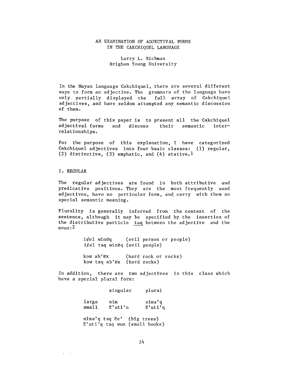# AN EXAMINATION OF ADJECTIVAL FORMS IN THE CAKCHIQUEL LANGUAGE

# Larry L. Richman Brigham Young University

In the Mayan language Cakchiquel, there are several different ways to form an adjective. The grammars of the language have only partially displayed the full array of Cakchiquel adjectives, and have seldom attempted any semantic discussion of them.

The purpose of this paper is to present all the Cakchiquel adjectival forms and discuss their semantic interrelationships.

For the purpose of this explanation, I have categorized Cakchiquel adjectives into four basic classes: (1) regular, (2) distinctive, (3) emphatic, and (4) stative.<sup>1</sup>

I. REGULAR

 $\bullet$  . <br> <br> <br> <br> <br> <br> <br> <br> <br> <br><br><br><br><br>

The regular adjectives are found in both attributive and predicative positions. They are the most frequently used adjectives, have no particular form, and. carry with them no special semantic meaning.

Plurality is generally inferred from the context of the sentence, although it may be specified by the insertion of the distributive particle  $\frac{1}{2}$  taq between the adjective and the noun:2

> $i$  $\phi$ el winëq (evil person or people)  $i \neq 1$  taq wineq (evil people) kow  $ab'$ <sup>\*</sup> (hard rock or rocks)

kow taq ab'ex (hard rocks)

In addition, there are two adjectives in this class which have a special plural form:

> large small singular nim  $C'$ uti'n plural nima' q  $C'$ uti'q nima'q taq če' (big trees)

c'uti'q taq wux (small books)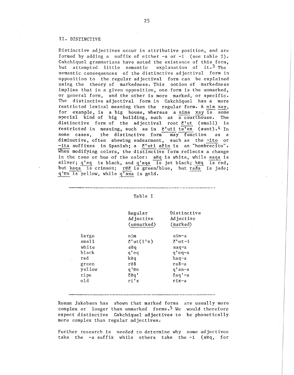#### II. DISTINCTIVE

Distinctive adjectives occur in attributive position, and are formed by adding a suffix of either -a or -i (see table I). Cakchiquel grammarians have noted the existence of this form, but attempted little semantic explanation of it.3 The semantic consequences of the distinctive adjectival form in opposition to the regular adjectival form can be explained using the theory of markedness. This notion of markedness implies that in a given opposition, one form is the unmarked, or general form, and the other is more marked, or specific. The distinctive adjectival form in Cakchiquel has a more restricted lexical meaning than the regular form. A nim xay, for example, is a big house, whereas anima xay is some special kind of big building, such as a courthouse. The distinctive form of the adjectival root  $\xi'$ ut (small) is restricted in meaning, such as in  $x'$ uti te'ex (aunt).<sup>4</sup> In some cases, the distinctive form may function as a diminutive, often showing endearment, such as the -ito or -ita suffixes in Spanish; a č'uti ačin is an "hombrecito". When modifying colors, the distinctive form reflects a change in the tone or hue of the color: seq is white, while saqa is silver;  $q'$ eq is black, and  $q'$ eqa is jet black; këq is red, but kaqa is crimson; reš is green/blue, but raša is jade; q'en is yellow, while q'ana is gold.

| ו ח<br>٠ |  |
|----------|--|
|----------|--|

-----------

|        | Regular<br>Adjective<br>(unmarked) | Distinctive<br>Adjective<br>(marked) |
|--------|------------------------------------|--------------------------------------|
| large  | nim                                | nim-a                                |
| small  | $\zeta'$ ut $(i'$ n)               | č'ut-i                               |
| white  | sëq                                | saq-a                                |
| black  | q'eq                               | $q'$ eq-a                            |
| red    | këa                                | kaq-a                                |
| green  | rëš                                | raš-a                                |
| yellow | g'ën                               | g'an-a                               |
| ripe   | čeq'                               | čaq'−a                               |
| old    | ri'x                               | rix-a                                |
|        |                                    |                                      |

Roman Jakobson has shown that marked forms are usually more complex or longer than unmarked forms.<sup>5</sup> We would therefore expect distinctive Cakchiquel adjectives to be phonetically more complex than regular adjectives.

Further research is needed to determine why some adjectives tatther research is heeded to determine why some adjectives<br>take the  $-a$  suffix while others take the  $-i$  (seq, for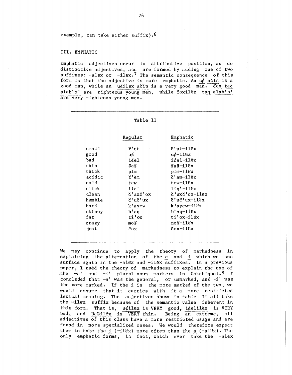example, can take either suffix).6

#### III. EMPHATIC

Emphatic adjectives occur in attributive position, as do distinctive adjectives, and are formed by adding one of two suffixes:  $-alex$  or  $-llex.7$  The semantic consequence of this form is that the adjective is more emphatic. An  $uf$  ačin is a good man, while an u¢ilëx ačin is a very good man. čox taq alab'o' are righteous young men, while čoxilëx taq alab'o' are very righteous young men.

|        | Regular  | Emphatic                     |
|--------|----------|------------------------------|
| sma11  | Ծ'ut     | $\mathcal{E}$ 'ut-ilëx       |
| good   | uć       | u¢-ilëx                      |
| bad    | $i$ éel  | $i$ $\notin$ e $1$ - $i$ lëx |
| thin   | šaš      | šaš-ilex                     |
| thick  | pim      | pim-ilëx                     |
| acidic | č'ëm     | č'am−ilëx                    |
| co1d   | tew      | tew-ilex                     |
| slick  | 11q'     | $liq' - ilex$                |
| clean  | č'axč'ox | č'axč'ox-ilëx                |
| humble | č'uč'ux  | č'uč'ux-ilëx                 |
| hard   | k'ayew   | k'ayew-ilëx                  |
| skinny | b'aq     | $b'$ aq $-11$ ëx             |
| fat    | ti'ox    | ti'ox-ilëx                   |
| crazy  | moš      | moš-ilėx                     |
| iust   | čox      | čox-ilëx                     |

Table II

We may continue to apply the theory of markedness in explaining the alternation of the  $a$  and  $1$  which we see surface again in the  $-alex$  and  $-ilex$  suffixes. In a previous paper, I used the theory of markedness to explain the use of the  $-a'$  and  $-i'$  plural noun markers in Cakchiquel.<sup>8</sup> I concluded that -a' was the general, or unmarked, and -i' was the more marked. If the i is the more marked of the two, we would assume that it carries with it a more restricted lexical meaning. The adjectives shown in table II all take the  $-11$ Ex suffix because of the semantic value inherent in this form. That is,  $u \notin \text{ilex}$  is VERY good, i $\oint e \text{li}\,l \text{ex}$  is VERY bad, and SaSilex is VERY thin. Being an extreme, all adjectives of this class have a more restricted usage and are found in more specialized cases. We would therefore expect them to take the  $i$  (-11ex) more often than the a (-alex). The only emphatic forms, in fact, which ever take the -alex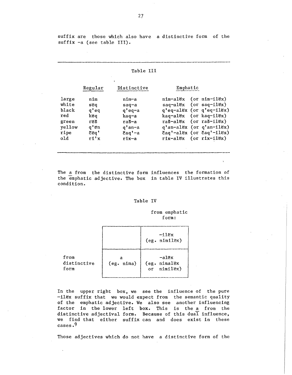suffix are those which also have a distinctive form of the suffix -a (see table III).

#### Table III

|        | Regular | Distinctive | Emphatic                                                                    |
|--------|---------|-------------|-----------------------------------------------------------------------------|
| large  | nim     | nim-a       | $nIm-alEx$ (or $nIm-1lex$ )                                                 |
| white  | seq     | saq-a       | $s aq - a 1ex$ (or $s aq - 11ex$ )                                          |
| black  | q'eq    | $q'$ eq-a   | q'eq-alëx (or q'eq-ilëx)                                                    |
| red    | keq     | kaq-a       | $kaq-alEx$ (or $kaq-11ex$ )                                                 |
| green  | rëš     | raš-a       | $ra\$ = $al\$ (or $ra\$ = $il\epsilon$ x)                                   |
| yellow | q' ën   | $q'$ an-a   | q'an-alëx (or q'an-ilëx)                                                    |
| ripe   | e       | čaq'-a      | $\text{Zaq'}-{\text{al}}\text{ex}$ (or $\text{Zaq'}-{\text{ll}}\text{ex}$ ) |
| old    | r1'x    | rix-a       | $r1x-alex$ (or $r1x-11ex$ )                                                 |

The a from the distinctive form influences the formation of the emphatic adjective. The box in table IV illustrates this condition.

### Table IV

#### from emphatic form:

|                             |                 | $-11ex$<br>(eg. nimilex)             |
|-----------------------------|-----------------|--------------------------------------|
| from<br>distinctive<br>form | a<br>(eg. nima) | -alex<br>(eg. nimalëx<br>or nimilex) |

In the upper right box, we see the influence of the pure -ilex suffix that we would expect from the semantic quality of the emphatic adjective. We also see another influencing factor in the lower left box. This is the a from the distinctive adjectival form. Because of this dual influence, we find that either suffix can and does exist in these cases.9

Those adjectives which do not have a distinctive form of the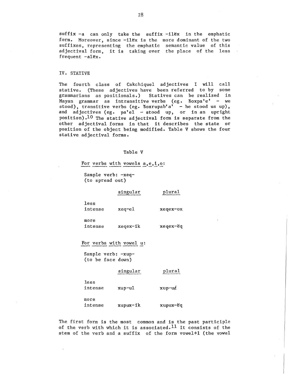$suffix -a$  can only take the  $suffix -ilEx$  in the emphatic form. Moreover, since -ilex is the more dominant of the two suffixes, representing the emphatic semantic value of this adjectival form, it is taking over the place of the less frequent  $-alEx.$ 

#### IV. STATIVE

The fourth class of Cakchiquel adjectives I will call stative. (These adjectives have been referred to by some grammarians as positionals.) Statives can be realized in Mayan grammar as intransitive verbs  $(eg, Soxpa'e' - we$ stood), transitive verbs (eg. Soxrupab'a' - he stood us up), and adjectives  $(eg, pal e1 - stood up, or in an upright)$ position).<sup>10</sup> The stative adjectival form is separate from the other adjectival forms in that it describes the state or position of the object being modified. Table V shows the four stative adjectival forms.

#### Table V

For verbs with vowels  $a, e, i, o$ :

Sample verb: -xeq- (to spread out)

singular

plural

less intense more xeq-el xeqex-ox

intense xeqex-ik xeqex-ëq

For verbs with vowel u:

Sample verb: -xup- (to be face down)

singular

plural

less intense more intense xup-ul xupux-ik  $xup-u\notin$ xupux-eq

The first form is the most common and is the past participle of the verb with which it is associated.<sup>11</sup> It consists of the stem of the verb and a suffix of the form vowel+l (the vowel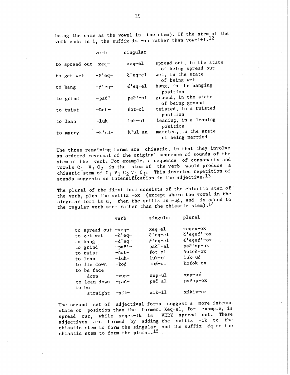being the same as the vowel in the stem). If the stem of the verb ends in 1, the suffix is -an rather than vowel+1.12

|                     | verb                   | singular           |                                                 |
|---------------------|------------------------|--------------------|-------------------------------------------------|
| to spread out -xeq- |                        | xeq-el             | spread out, in the state<br>of being spread out |
| to get wet          | $-5$ 'eq $-$           | $\zeta$ 'eq-el     | wet, in the state<br>of being wet               |
| to hang             | $-d'$ eq-              | $d$ 'eq-el         | hung, in the hanging<br>position                |
| to grind            | $-pa\zeta$ ' –         | $pa\check{c}$ '-al | ground, in the state<br>of being ground         |
| to twist            | $-50t -$               | $\text{Soft-ol}$   | twisted, in a twisted<br>position               |
| to lean             | $-1$ uk $-$            | $1uk-u1$           | leaning, in a leaning<br>position               |
| to marry            | $-$ k $^{\dagger}$ ul- | $k'$ ul-an         | married, in the state<br>of being married       |

The three remaining forms are chiastic, in that they involve an ordered reversal of the original sequence of sounds of the stem of the verb. For example, a sequence of consonants and vowels  $c_1$   $v_1$   $c_2$  in the stem of the verb would produce a chiastic stem of  $C_1$  V<sub>1</sub>  $C_2$  V<sub>1</sub> C<sub>1</sub>. This inverted repetition of sounds suggests an intensification in the adjective.  $^{13}$ 

The plural of the first form consists of the chiastic stem of the verb, plus the suffix -ox (except where the vowel in the singular form is  $u$ , then the suffix is  $-u\ell$ , and is added to the regular verb stem rather than the chiastic stem).<sup>14</sup>

|                                                                                          | verb                                                                                       | singular                                                                                                  | plural                                                                                                      |
|------------------------------------------------------------------------------------------|--------------------------------------------------------------------------------------------|-----------------------------------------------------------------------------------------------------------|-------------------------------------------------------------------------------------------------------------|
| to spread out<br>to get wet<br>to hang<br>to grind<br>to twist<br>to lean<br>to lie down | $-xeq-$<br>$-5°$ eq-<br>$-\ell$ 'eq-<br>$-pa\zeta'$ -<br>$-50t-$<br>$-1$ uk $-$<br>$-kof-$ | xeq-el<br>$\delta$ 'eq-el<br>$i$ 'eq-el<br>pač <sup>1</sup> -al<br>$\text{Soft-ol}$<br>$1uk-u1$<br>koć-ol | xeqex-ox<br>δ'eqeč'-ox<br>$k'$ eqe $k'$ -ox<br>pač'ap-ox<br>šotoš-ox<br>$1$ uk $-$ u $\epsilon$<br>koćok-ox |
| to be face                                                                               |                                                                                            | $xup-ul$                                                                                                  | $xup-u\notin$                                                                                               |
| down<br>to lean down                                                                     | $-xup-$<br>−pač−                                                                           | pač-al                                                                                                    | pačap-ox                                                                                                    |
| to be<br>straight                                                                        | $-$ xik $-$                                                                                | xik-il                                                                                                    | xikix-ox                                                                                                    |

The second set of adjectival forms suggest a more intense state or position than the former. Xeq-el, for example, is spread out, while xeqex-ik is VERY spread out. These spread out, while acquable to the suffix -ik to the adjectives are formed by abound in the suffix -Mq to the chiastic stem to form the plural. $15$ .

29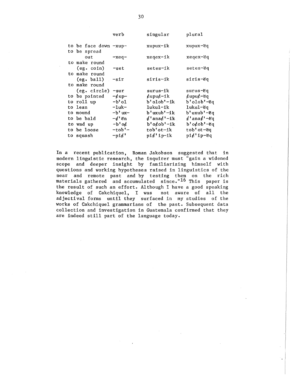|                                      | verb                    | singular                                          | plural                            |
|--------------------------------------|-------------------------|---------------------------------------------------|-----------------------------------|
| to be face down -xup-                |                         | xupux-ik                                          | xupux-eq                          |
| to be spread<br>out<br>to make round | $-xeq-$                 | xeqex-ik                                          | xeqex-ëq                          |
| (eg. coin)                           | -set                    | setes-ik                                          | setes-ëq                          |
| to make round<br>(eg. ball)          | -sir                    | siris-ik                                          | siris-ëq                          |
| to make round<br>(eg. circle)        | -sur                    | surus-ik                                          | surus-ëq                          |
| to be pointed<br>to roll up          | $-\ell$ up-<br>$-b$ 'ol | $\mathcal{L}$ upu $\mathcal{L}$ -ik<br>b'olob'-ik | $\mu$ upu $\mu$ -eq<br>b'olob'-ëq |
| to lean                              | -1uk-                   | 1uku1-ik                                          | lukul-ëq                          |
| to mound                             | -b' ux-                 | b'uxub'-ik                                        | b'uxub'-ëq                        |
| to be bald                           | $-d'$ en                | $d'$ ana $d'$ -ik                                 | $\ell'$ ana $\ell'$ -eq           |
| to wad up                            | $-b$ 'o $\epsilon$      | b'o¢ob'-ik                                        | $b'$ o $\&$ ob' $-eq$             |
| to be loose                          | $-tob'$ -               | tob'ot-ik                                         | tob'ot-eq                         |
| to squash                            | $-\text{pi}\ell'$       | $pi \notin 'ip-ik$                                | $pi \notin 'ip-\epsilon q$        |

In a recent publication, Roman Jakobson suggested that in modern linguistic research, the inquirer must "gain a widened scope and deeper insight by familiarizing himself with questions and working hypotheses raised in linguistics of the near and remote past and by testing them on the rich materials gathered and accumulated since."16 This paper is the result of such an effort. Although I have a good speaking knowledge of Cakchiquel, I was not aware of all the adjectival forms until they surfaced in my studies of the works of Cakchiquel grammarians of the past. Subsequent data collection and investigation in Guatemala confirmed that they are indeed still part of the language today.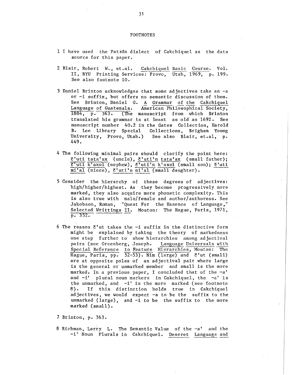#### FOOTNOTES

- 1 I have used the Patz6n dialect of Cakchiquel as the data source for this paper.
- 2. Blair, Robert w., et.al. Cakchiquel Basic Course. VoL II, BYU Printing Services: Provo, Utah, 1969, p. 199. See also footnote 10.
- 3 Daniel Brinton acknowledges that some adjectives take an -a or -i suffix, but offers no semantic discussion of them. See Brinton, Daniel G. A Grammar of the Cakchiquel<br>Language of Guatemala. American Philosophical Society, Language of Guatemala. American Philosophical Society,<br>1884, p. 363. (The manuscript from which Brinton  $\overline{1}$  (The manuscript from which Brinton translated his grammar is at least as old as 1692. See manuscript number 40.2 in the Gates Collection, Harold B. Lee Library Special Collections, Brigham Young University, Provo, Utah.) See also Blair, et.al, p. 449.
- 4 The following minimal pairs should clarify the point here: č'uti tata'ax (uncle), č'uti'n tata'ax (small father);  $\overline{c'$ uti k'axol (nephew),  $\overline{c'}$ uti'n k'axol (small son);  $\overline{c'}$ uti  $\overline{\mathfrak{mi}'\mathfrak{al}}$  (niece), č'uti'n  $\overline{\mathfrak{mi}'\mathfrak{al}}$  (small daughter).
- 5 Consider the hierarchy of these degrees of adjectives: high/higher/highest. As they become progressively more marked, they also acquire more phonetic complexity. This is also true with male/female and author/authoress. See Jakobson, Roman, "Quest For the Essence of Language," Selected Writtings II. Mouton: The Hague, Paris, 1971, p. 352.
- 6 The reason  $C'$ ut takes the  $-i$  suffix in the distinctive form might be explained by taking the theory of markedness one step further to show hierarchies among adjectival pairs (see Greenberg, Joseph. Language Universals with Special Reference to Feature Hierarchies, Mouton: The Hague, Paris, pp.  $52-53$ ). Nim (large) and  $\zeta'$ ut (small) are at opposite poles of an adjectival pair where large is the general or unmarked member and small is the more marked. In a previous paper, I concluded that of the -a' and  $-i'$  plural noun markers in Cakchiquel, the  $-a'$  is the unmarked, and  $-i'$  is the more marked (see footnote 8). If this distinction holds true in Cakchiquel adjectives, we would expect -a to be the suffix to the unmarked (large), and -i to be the suffix to the more marked (small).

7 Brinton, p. 363.

8 Richman, Larry L. The Semantic Value of the -a' and the -i' Noun Plurals in Cakchiquel. Deseret Language and